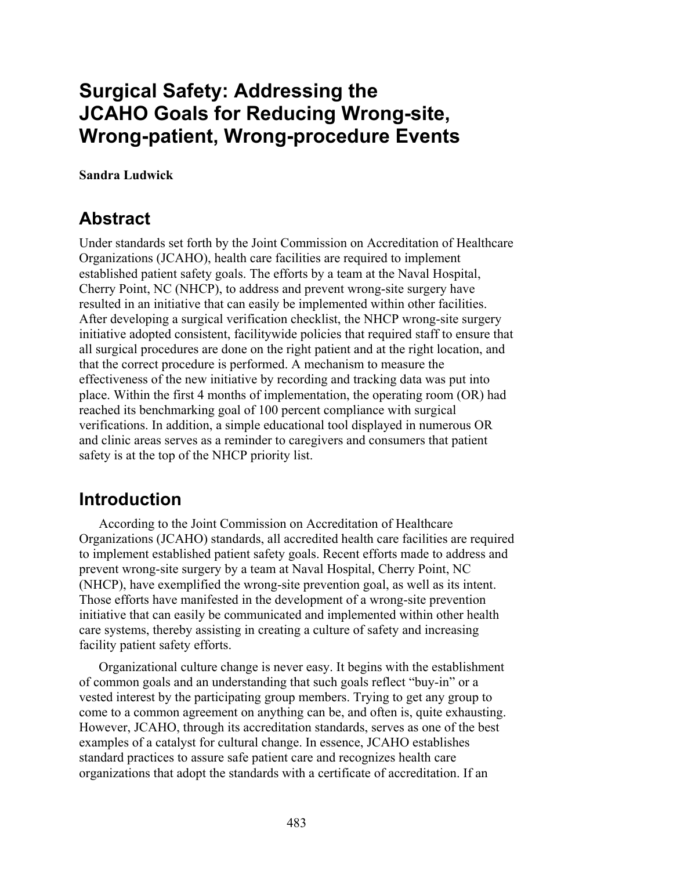# **Surgical Safety: Addressing the JCAHO Goals for Reducing Wrong-site, Wrong-patient, Wrong-procedure Events**

**Sandra Ludwick** 

## **Abstract**

Under standards set forth by the Joint Commission on Accreditation of Healthcare Organizations (JCAHO), health care facilities are required to implement established patient safety goals. The efforts by a team at the Naval Hospital, Cherry Point, NC (NHCP), to address and prevent wrong-site surgery have resulted in an initiative that can easily be implemented within other facilities. After developing a surgical verification checklist, the NHCP wrong-site surgery initiative adopted consistent, facilitywide policies that required staff to ensure that all surgical procedures are done on the right patient and at the right location, and that the correct procedure is performed. A mechanism to measure the effectiveness of the new initiative by recording and tracking data was put into place. Within the first 4 months of implementation, the operating room (OR) had reached its benchmarking goal of 100 percent compliance with surgical verifications. In addition, a simple educational tool displayed in numerous OR and clinic areas serves as a reminder to caregivers and consumers that patient safety is at the top of the NHCP priority list.

## **Introduction**

According to the Joint Commission on Accreditation of Healthcare Organizations (JCAHO) standards, all accredited health care facilities are required to implement established patient safety goals. Recent efforts made to address and prevent wrong-site surgery by a team at Naval Hospital, Cherry Point, NC (NHCP), have exemplified the wrong-site prevention goal, as well as its intent. Those efforts have manifested in the development of a wrong-site prevention initiative that can easily be communicated and implemented within other health care systems, thereby assisting in creating a culture of safety and increasing facility patient safety efforts.

Organizational culture change is never easy. It begins with the establishment of common goals and an understanding that such goals reflect "buy-in" or a vested interest by the participating group members. Trying to get any group to come to a common agreement on anything can be, and often is, quite exhausting. However, JCAHO, through its accreditation standards, serves as one of the best examples of a catalyst for cultural change. In essence, JCAHO establishes standard practices to assure safe patient care and recognizes health care organizations that adopt the standards with a certificate of accreditation. If an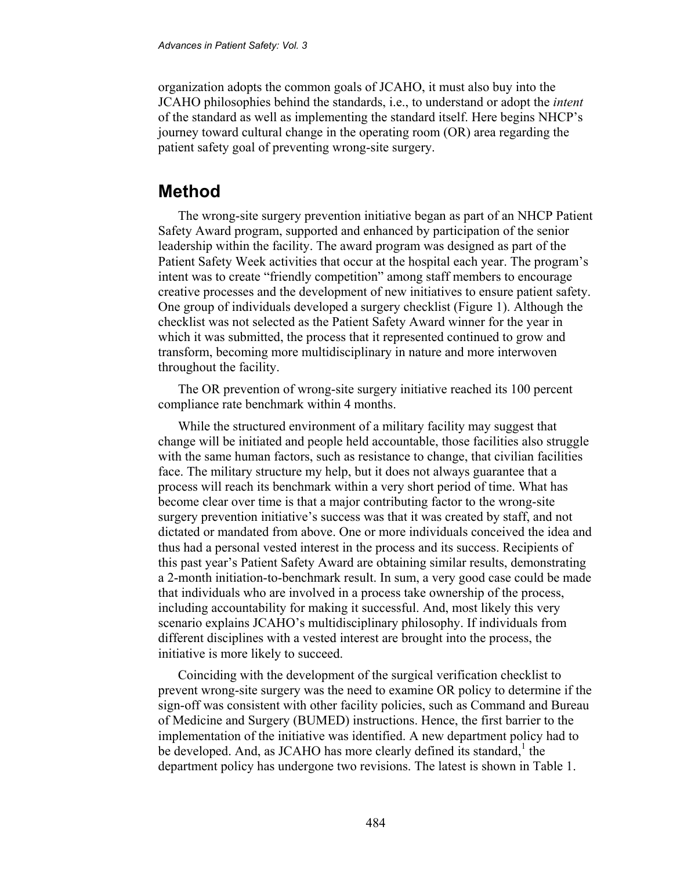organization adopts the common goals of JCAHO, it must also buy into the JCAHO philosophies behind the standards, i.e., to understand or adopt the *intent* of the standard as well as implementing the standard itself. Here begins NHCP's journey toward cultural change in the operating room (OR) area regarding the patient safety goal of preventing wrong-site surgery.

### **Method**

The wrong-site surgery prevention initiative began as part of an NHCP Patient Safety Award program, supported and enhanced by participation of the senior leadership within the facility. The award program was designed as part of the Patient Safety Week activities that occur at the hospital each year. The program's intent was to create "friendly competition" among staff members to encourage creative processes and the development of new initiatives to ensure patient safety. One group of individuals developed a surgery checklist (Figure 1). Although the checklist was not selected as the Patient Safety Award winner for the year in which it was submitted, the process that it represented continued to grow and transform, becoming more multidisciplinary in nature and more interwoven throughout the facility.

The OR prevention of wrong-site surgery initiative reached its 100 percent compliance rate benchmark within 4 months.

While the structured environment of a military facility may suggest that change will be initiated and people held accountable, those facilities also struggle with the same human factors, such as resistance to change, that civilian facilities face. The military structure my help, but it does not always guarantee that a process will reach its benchmark within a very short period of time. What has become clear over time is that a major contributing factor to the wrong-site surgery prevention initiative's success was that it was created by staff, and not dictated or mandated from above. One or more individuals conceived the idea and thus had a personal vested interest in the process and its success. Recipients of this past year's Patient Safety Award are obtaining similar results, demonstrating a 2-month initiation-to-benchmark result. In sum, a very good case could be made that individuals who are involved in a process take ownership of the process, including accountability for making it successful. And, most likely this very scenario explains JCAHO's multidisciplinary philosophy. If individuals from different disciplines with a vested interest are brought into the process, the initiative is more likely to succeed.

Coinciding with the development of the surgical verification checklist to prevent wrong-site surgery was the need to examine OR policy to determine if the sign-off was consistent with other facility policies, such as Command and Bureau of Medicine and Surgery (BUMED) instructions. Hence, the first barrier to the implementation of the initiative was identified. A new department policy had to be developed. And, as JCAHO has more clearly defined its standard,<sup>1</sup> the department policy has undergone two revisions. The latest is shown in Table 1.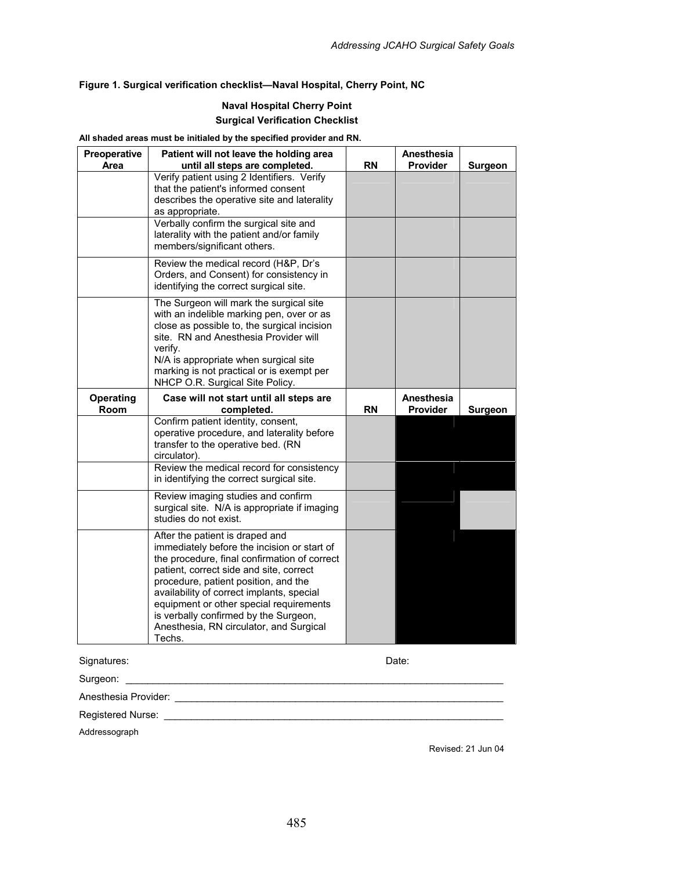#### **Figure 1. Surgical verification checklist—Naval Hospital, Cherry Point, NC**

#### **Naval Hospital Cherry Point Surgical Verification Checklist**

#### **All shaded areas must be initialed by the specified provider and RN.**

| Preoperative<br>Area | Patient will not leave the holding area<br>until all steps are completed.                                                                                                                                                                                                                                                                                                                     | <b>RN</b> | Anesthesia<br>Provider | <b>Surgeon</b> |
|----------------------|-----------------------------------------------------------------------------------------------------------------------------------------------------------------------------------------------------------------------------------------------------------------------------------------------------------------------------------------------------------------------------------------------|-----------|------------------------|----------------|
|                      | Verify patient using 2 Identifiers. Verify<br>that the patient's informed consent<br>describes the operative site and laterality<br>as appropriate.                                                                                                                                                                                                                                           |           |                        |                |
|                      | Verbally confirm the surgical site and<br>laterality with the patient and/or family<br>members/significant others.                                                                                                                                                                                                                                                                            |           |                        |                |
|                      | Review the medical record (H&P, Dr's<br>Orders, and Consent) for consistency in<br>identifying the correct surgical site.                                                                                                                                                                                                                                                                     |           |                        |                |
|                      | The Surgeon will mark the surgical site<br>with an indelible marking pen, over or as<br>close as possible to, the surgical incision<br>site. RN and Anesthesia Provider will<br>verify.<br>N/A is appropriate when surgical site<br>marking is not practical or is exempt per<br>NHCP O.R. Surgical Site Policy.                                                                              |           |                        |                |
| Operating<br>Room    | Case will not start until all steps are<br>completed.                                                                                                                                                                                                                                                                                                                                         | <b>RN</b> | Anesthesia<br>Provider | <b>Surgeon</b> |
|                      | Confirm patient identity, consent,<br>operative procedure, and laterality before<br>transfer to the operative bed. (RN<br>circulator).                                                                                                                                                                                                                                                        |           |                        |                |
|                      | Review the medical record for consistency<br>in identifying the correct surgical site.                                                                                                                                                                                                                                                                                                        |           |                        |                |
|                      | Review imaging studies and confirm<br>surgical site. N/A is appropriate if imaging<br>studies do not exist.                                                                                                                                                                                                                                                                                   |           |                        |                |
|                      | After the patient is draped and<br>immediately before the incision or start of<br>the procedure, final confirmation of correct<br>patient, correct side and site, correct<br>procedure, patient position, and the<br>availability of correct implants, special<br>equipment or other special requirements<br>is verbally confirmed by the Surgeon,<br>Anesthesia, RN circulator, and Surgical |           |                        |                |

Signatures: Date:

Surgeon: \_\_\_\_\_\_\_\_\_\_\_\_\_\_\_\_\_\_\_\_\_\_\_\_\_\_\_\_\_\_\_\_\_\_\_\_\_\_\_\_\_\_\_\_\_\_\_\_\_\_\_\_\_\_\_\_\_\_\_\_\_\_\_\_\_\_\_\_\_

Anesthesia Provider: \_\_\_\_\_\_\_\_\_\_\_\_\_\_\_\_\_\_\_\_\_\_\_\_\_\_\_\_\_\_\_\_\_\_\_\_\_\_\_\_\_\_\_\_\_\_\_\_\_\_\_\_\_\_\_\_\_\_\_\_

Registered Nurse: \_\_\_\_\_\_\_\_\_\_\_\_\_\_\_\_\_\_\_\_\_\_\_\_\_\_\_\_\_\_\_\_\_\_\_\_\_\_\_\_\_\_\_\_\_\_\_\_\_\_\_\_\_\_\_\_\_\_\_\_\_\_

Addressograph

Revised: 21 Jun 04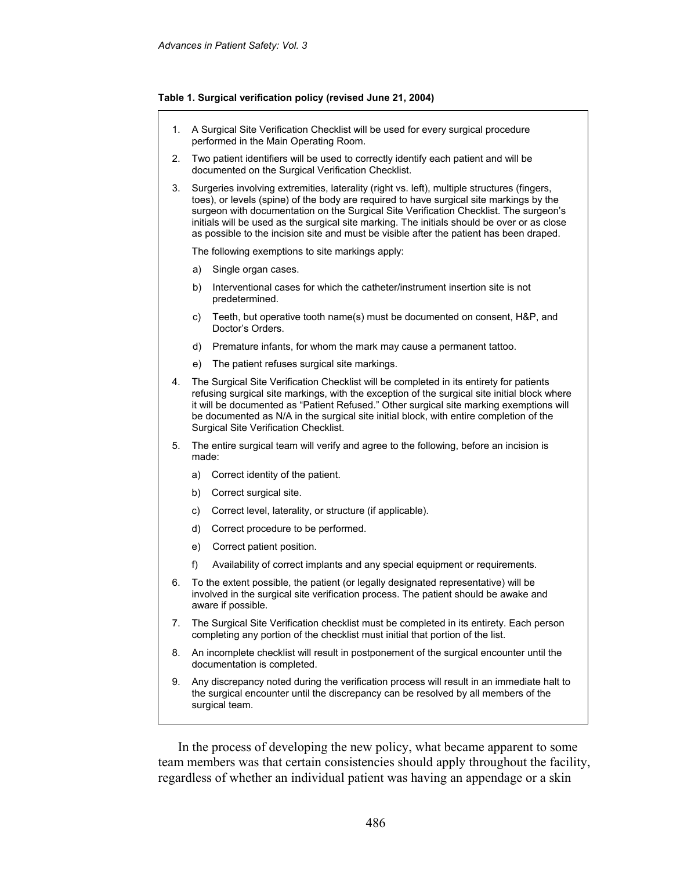#### **Table 1. Surgical verification policy (revised June 21, 2004)**

- 1. A Surgical Site Verification Checklist will be used for every surgical procedure performed in the Main Operating Room.
- 2. Two patient identifiers will be used to correctly identify each patient and will be documented on the Surgical Verification Checklist.
- 3. Surgeries involving extremities, laterality (right vs. left), multiple structures (fingers, toes), or levels (spine) of the body are required to have surgical site markings by the surgeon with documentation on the Surgical Site Verification Checklist. The surgeon's initials will be used as the surgical site marking. The initials should be over or as close as possible to the incision site and must be visible after the patient has been draped.

The following exemptions to site markings apply:

- a) Single organ cases.
- b) Interventional cases for which the catheter/instrument insertion site is not predetermined.
- c) Teeth, but operative tooth name(s) must be documented on consent, H&P, and Doctor's Orders.
- d) Premature infants, for whom the mark may cause a permanent tattoo.
- e) The patient refuses surgical site markings.
- 4. The Surgical Site Verification Checklist will be completed in its entirety for patients refusing surgical site markings, with the exception of the surgical site initial block where it will be documented as "Patient Refused." Other surgical site marking exemptions will be documented as N/A in the surgical site initial block, with entire completion of the Surgical Site Verification Checklist.
- 5. The entire surgical team will verify and agree to the following, before an incision is made:
	- a) Correct identity of the patient.
	- b) Correct surgical site.
	- c) Correct level, laterality, or structure (if applicable).
	- d) Correct procedure to be performed.
	- e) Correct patient position.
	- f) Availability of correct implants and any special equipment or requirements.
- 6. To the extent possible, the patient (or legally designated representative) will be involved in the surgical site verification process. The patient should be awake and aware if possible.
- 7. The Surgical Site Verification checklist must be completed in its entirety. Each person completing any portion of the checklist must initial that portion of the list.
- 8. An incomplete checklist will result in postponement of the surgical encounter until the documentation is completed.
- 9. Any discrepancy noted during the verification process will result in an immediate halt to the surgical encounter until the discrepancy can be resolved by all members of the surgical team.

In the process of developing the new policy, what became apparent to some team members was that certain consistencies should apply throughout the facility, regardless of whether an individual patient was having an appendage or a skin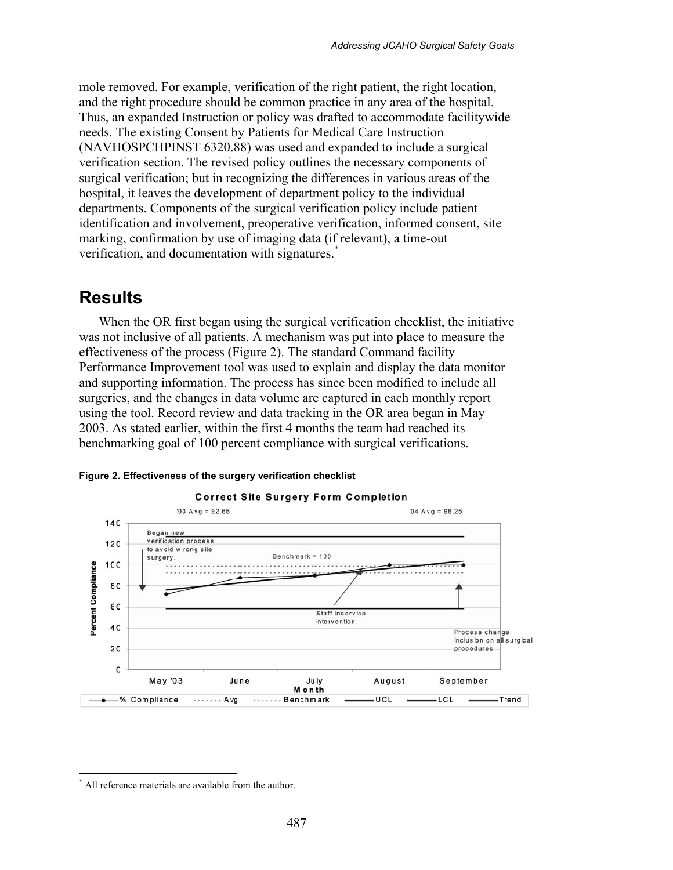mole removed. For example, verification of the right patient, the right location, and the right procedure should be common practice in any area of the hospital. Thus, an expanded Instruction or policy was drafted to accommodate facilitywide needs. The existing Consent by Patients for Medical Care Instruction (NAVHOSPCHPINST 6320.88) was used and expanded to include a surgical verification section. The revised policy outlines the necessary components of surgical verification; but in recognizing the differences in various areas of the hospital, it leaves the development of department policy to the individual departments. Components of the surgical verification policy include patient identification and involvement, preoperative verification, informed consent, site marking, confirmation by use of imaging data (if relevant), a time-out verification, and documentation with signatures.<sup>\*</sup>

### **Results**

When the OR first began using the surgical verification checklist, the initiative was not inclusive of all patients. A mechanism was put into place to measure the effectiveness of the process (Figure 2). The standard Command facility Performance Improvement tool was used to explain and display the data monitor and supporting information. The process has since been modified to include all surgeries, and the changes in data volume are captured in each monthly report using the tool. Record review and data tracking in the OR area began in May 2003. As stated earlier, within the first 4 months the team had reached its benchmarking goal of 100 percent compliance with surgical verifications.



#### **Figure 2. Effectiveness of the surgery verification checklist**

 $\overline{a}$ \* All reference materials are available from the author.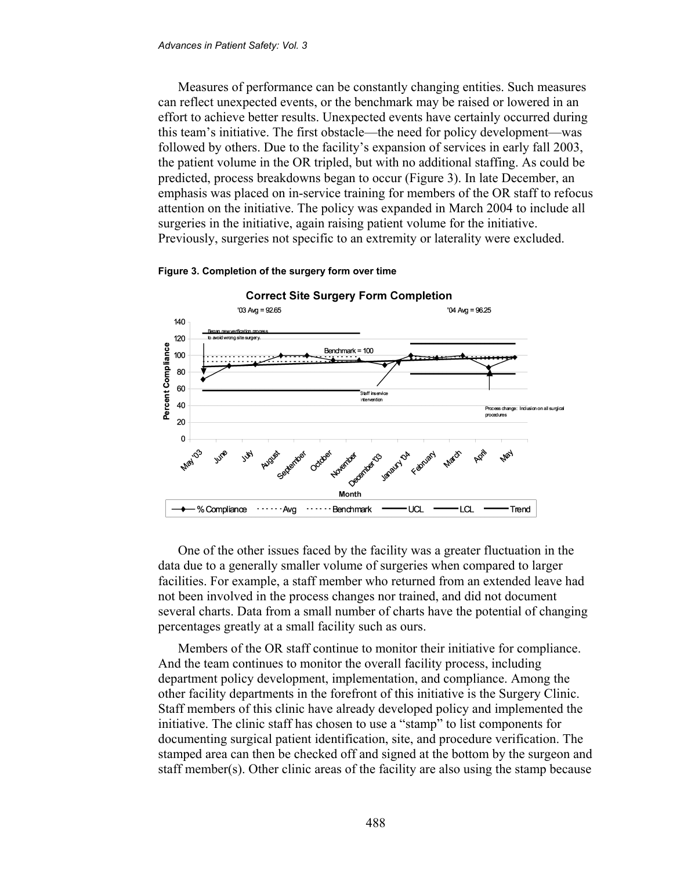Measures of performance can be constantly changing entities. Such measures can reflect unexpected events, or the benchmark may be raised or lowered in an effort to achieve better results. Unexpected events have certainly occurred during this team's initiative. The first obstacle—the need for policy development—was followed by others. Due to the facility's expansion of services in early fall 2003, the patient volume in the OR tripled, but with no additional staffing. As could be predicted, process breakdowns began to occur (Figure 3). In late December, an emphasis was placed on in-service training for members of the OR staff to refocus attention on the initiative. The policy was expanded in March 2004 to include all surgeries in the initiative, again raising patient volume for the initiative. Previously, surgeries not specific to an extremity or laterality were excluded.



#### **Figure 3. Completion of the surgery form over time**

One of the other issues faced by the facility was a greater fluctuation in the data due to a generally smaller volume of surgeries when compared to larger facilities. For example, a staff member who returned from an extended leave had not been involved in the process changes nor trained, and did not document several charts. Data from a small number of charts have the potential of changing percentages greatly at a small facility such as ours.

Members of the OR staff continue to monitor their initiative for compliance. And the team continues to monitor the overall facility process, including department policy development, implementation, and compliance. Among the other facility departments in the forefront of this initiative is the Surgery Clinic. Staff members of this clinic have already developed policy and implemented the initiative. The clinic staff has chosen to use a "stamp" to list components for documenting surgical patient identification, site, and procedure verification. The stamped area can then be checked off and signed at the bottom by the surgeon and staff member(s). Other clinic areas of the facility are also using the stamp because

488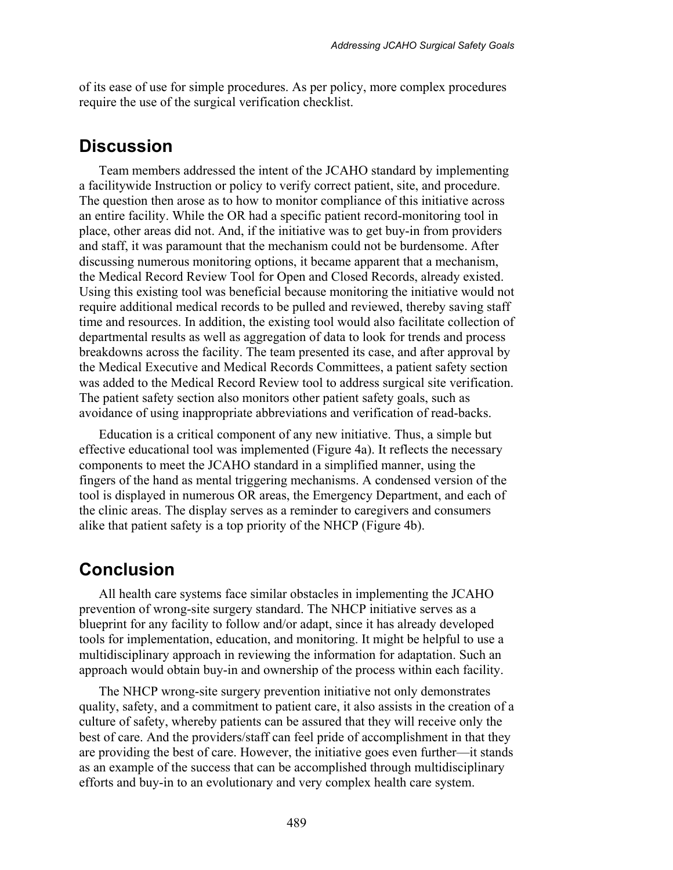of its ease of use for simple procedures. As per policy, more complex procedures require the use of the surgical verification checklist.

### **Discussion**

Team members addressed the intent of the JCAHO standard by implementing a facilitywide Instruction or policy to verify correct patient, site, and procedure. The question then arose as to how to monitor compliance of this initiative across an entire facility. While the OR had a specific patient record-monitoring tool in place, other areas did not. And, if the initiative was to get buy-in from providers and staff, it was paramount that the mechanism could not be burdensome. After discussing numerous monitoring options, it became apparent that a mechanism, the Medical Record Review Tool for Open and Closed Records, already existed. Using this existing tool was beneficial because monitoring the initiative would not require additional medical records to be pulled and reviewed, thereby saving staff time and resources. In addition, the existing tool would also facilitate collection of departmental results as well as aggregation of data to look for trends and process breakdowns across the facility. The team presented its case, and after approval by the Medical Executive and Medical Records Committees, a patient safety section was added to the Medical Record Review tool to address surgical site verification. The patient safety section also monitors other patient safety goals, such as avoidance of using inappropriate abbreviations and verification of read-backs.

Education is a critical component of any new initiative. Thus, a simple but effective educational tool was implemented (Figure 4a). It reflects the necessary components to meet the JCAHO standard in a simplified manner, using the fingers of the hand as mental triggering mechanisms. A condensed version of the tool is displayed in numerous OR areas, the Emergency Department, and each of the clinic areas. The display serves as a reminder to caregivers and consumers alike that patient safety is a top priority of the NHCP (Figure 4b).

### **Conclusion**

All health care systems face similar obstacles in implementing the JCAHO prevention of wrong-site surgery standard. The NHCP initiative serves as a blueprint for any facility to follow and/or adapt, since it has already developed tools for implementation, education, and monitoring. It might be helpful to use a multidisciplinary approach in reviewing the information for adaptation. Such an approach would obtain buy-in and ownership of the process within each facility.

The NHCP wrong-site surgery prevention initiative not only demonstrates quality, safety, and a commitment to patient care, it also assists in the creation of a culture of safety, whereby patients can be assured that they will receive only the best of care. And the providers/staff can feel pride of accomplishment in that they are providing the best of care. However, the initiative goes even further—it stands as an example of the success that can be accomplished through multidisciplinary efforts and buy-in to an evolutionary and very complex health care system.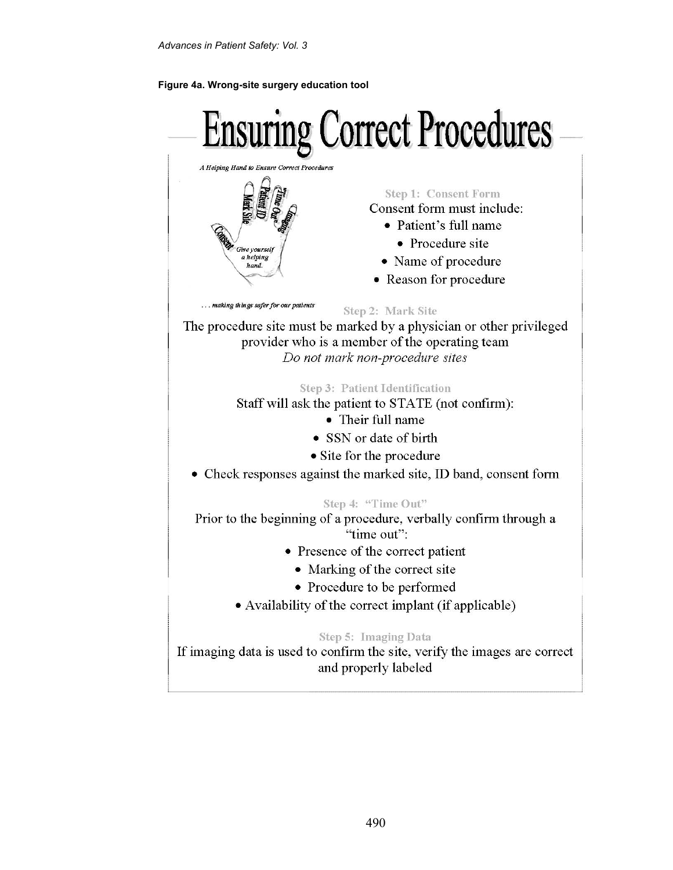#### **Figure 4a. Wrong-site surgery education tool**

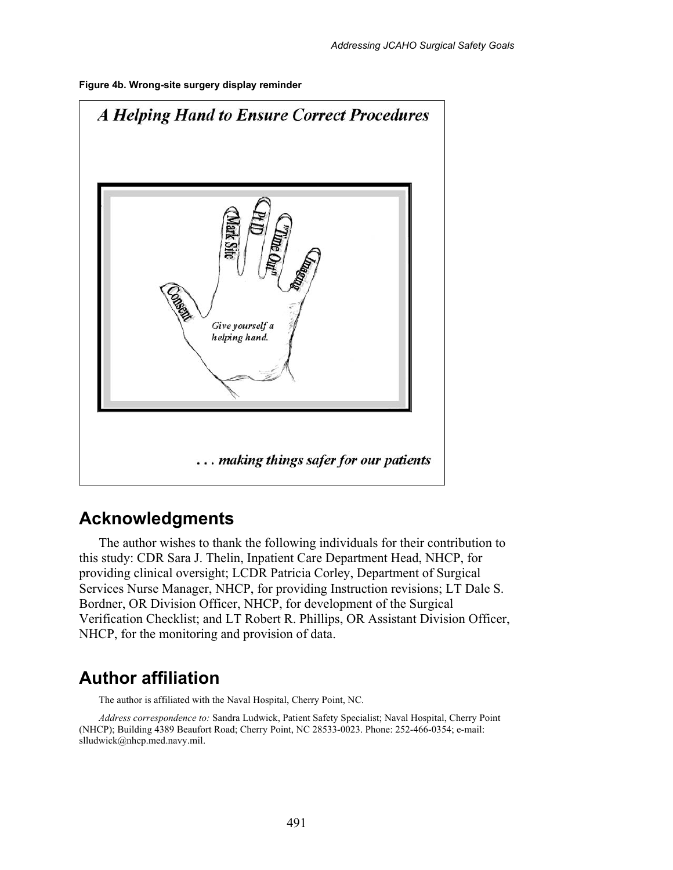



### **Acknowledgments**

The author wishes to thank the following individuals for their contribution to this study: CDR Sara J. Thelin, Inpatient Care Department Head, NHCP, for providing clinical oversight; LCDR Patricia Corley, Department of Surgical Services Nurse Manager, NHCP, for providing Instruction revisions; LT Dale S. Bordner, OR Division Officer, NHCP, for development of the Surgical Verification Checklist; and LT Robert R. Phillips, OR Assistant Division Officer, NHCP, for the monitoring and provision of data.

### **Author affiliation**

The author is affiliated with the Naval Hospital, Cherry Point, NC.

*Address correspondence to:* Sandra Ludwick, Patient Safety Specialist; Naval Hospital, Cherry Point (NHCP); Building 4389 Beaufort Road; Cherry Point, NC 28533-0023. Phone: 252-466-0354; e-mail: slludwick@nhcp.med.navy.mil.